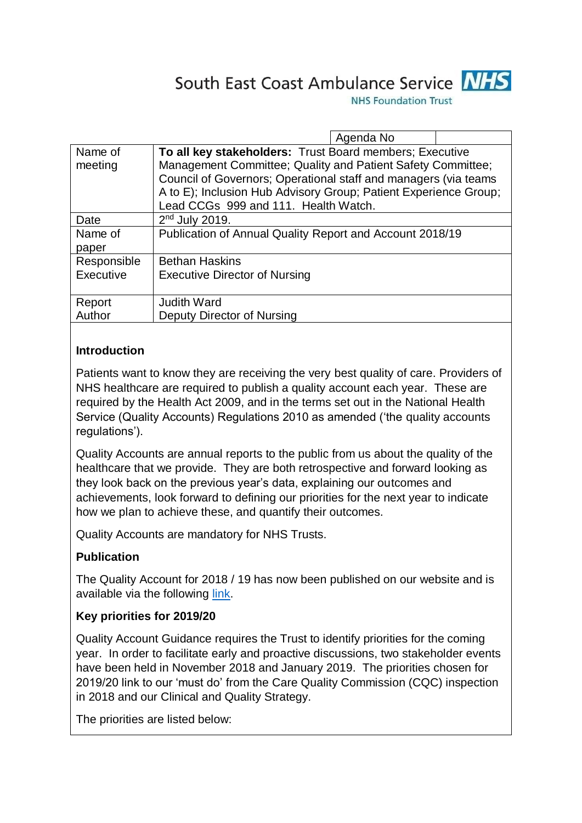



**NHS Foundation Trust** 

|             | Agenda No                                                        |
|-------------|------------------------------------------------------------------|
| Name of     | To all key stakeholders: Trust Board members; Executive          |
| meeting     | Management Committee; Quality and Patient Safety Committee;      |
|             | Council of Governors; Operational staff and managers (via teams  |
|             | A to E); Inclusion Hub Advisory Group; Patient Experience Group; |
|             | Lead CCGs 999 and 111. Health Watch.                             |
| Date        | $2nd$ July 2019.                                                 |
| Name of     | Publication of Annual Quality Report and Account 2018/19         |
| paper       |                                                                  |
| Responsible | <b>Bethan Haskins</b>                                            |
| Executive   | <b>Executive Director of Nursing</b>                             |
|             |                                                                  |
| Report      | <b>Judith Ward</b>                                               |
| Author      | Deputy Director of Nursing                                       |
|             |                                                                  |

#### **Introduction**

Patients want to know they are receiving the very best quality of care. Providers of NHS healthcare are required to publish a quality account each year. These are required by the Health Act 2009, and in the terms set out in the National Health Service (Quality Accounts) Regulations 2010 as amended ('the quality accounts regulations').

Quality Accounts are annual reports to the public from us about the quality of the healthcare that we provide. They are both retrospective and forward looking as they look back on the previous year's data, explaining our outcomes and achievements, look forward to defining our priorities for the next year to indicate how we plan to achieve these, and quantify their outcomes.

Quality Accounts are mandatory for NHS Trusts.

### **Publication**

The Quality Account for 2018 / 19 has now been published on our website and is available via the following [link.](https://www.nhs.uk/Services/Trusts/Overview/DefaultView.aspx?id=29240)

#### **Key priorities for 2019/20**

Quality Account Guidance requires the Trust to identify priorities for the coming year. In order to facilitate early and proactive discussions, two stakeholder events have been held in November 2018 and January 2019. The priorities chosen for 2019/20 link to our 'must do' from the Care Quality Commission (CQC) inspection in 2018 and our Clinical and Quality Strategy.

The priorities are listed below: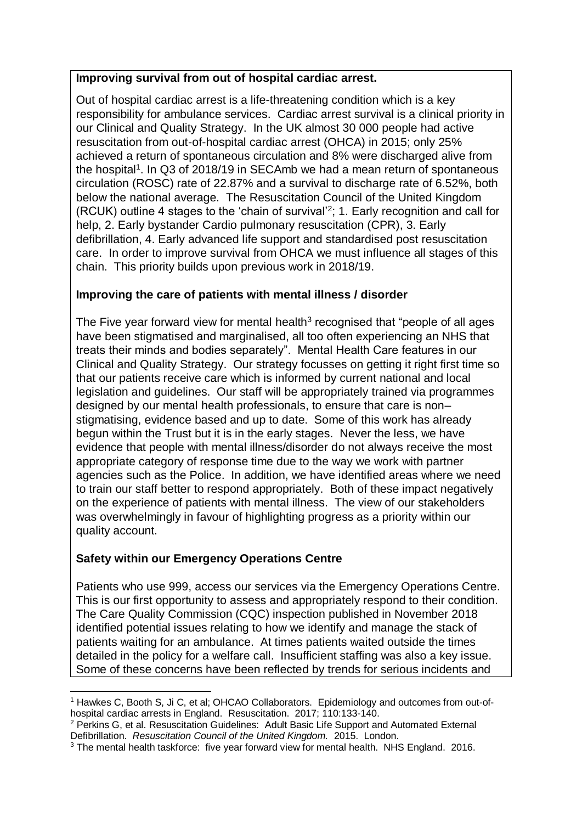#### **Improving survival from out of hospital cardiac arrest.**

Out of hospital cardiac arrest is a life-threatening condition which is a key responsibility for ambulance services. Cardiac arrest survival is a clinical priority in our Clinical and Quality Strategy. In the UK almost 30 000 people had active resuscitation from out-of-hospital cardiac arrest (OHCA) in 2015; only 25% achieved a return of spontaneous circulation and 8% were discharged alive from the hospital<sup>1</sup>. In Q3 of 2018/19 in SECAmb we had a mean return of spontaneous circulation (ROSC) rate of 22.87% and a survival to discharge rate of 6.52%, both below the national average. The Resuscitation Council of the United Kingdom (RCUK) outline 4 stages to the 'chain of survival'<sup>2</sup>; 1. Early recognition and call for help, 2. Early bystander Cardio pulmonary resuscitation (CPR), 3. Early defibrillation, 4. Early advanced life support and standardised post resuscitation care. In order to improve survival from OHCA we must influence all stages of this chain. This priority builds upon previous work in 2018/19.

### **Improving the care of patients with mental illness / disorder**

The Five year forward view for mental health $3$  recognised that "people of all ages have been stigmatised and marginalised, all too often experiencing an NHS that treats their minds and bodies separately". Mental Health Care features in our Clinical and Quality Strategy. Our strategy focusses on getting it right first time so that our patients receive care which is informed by current national and local legislation and guidelines. Our staff will be appropriately trained via programmes designed by our mental health professionals, to ensure that care is non– stigmatising, evidence based and up to date. Some of this work has already begun within the Trust but it is in the early stages. Never the less, we have evidence that people with mental illness/disorder do not always receive the most appropriate category of response time due to the way we work with partner agencies such as the Police. In addition, we have identified areas where we need to train our staff better to respond appropriately. Both of these impact negatively on the experience of patients with mental illness. The view of our stakeholders was overwhelmingly in favour of highlighting progress as a priority within our quality account.

### **Safety within our Emergency Operations Centre**

Patients who use 999, access our services via the Emergency Operations Centre. This is our first opportunity to assess and appropriately respond to their condition. The Care Quality Commission (CQC) inspection published in November 2018 identified potential issues relating to how we identify and manage the stack of patients waiting for an ambulance. At times patients waited outside the times detailed in the policy for a welfare call. Insufficient staffing was also a key issue. Some of these concerns have been reflected by trends for serious incidents and

<sup>-</sup><sup>1</sup> Hawkes C, Booth S, Ji C, et al; OHCAO Collaborators. Epidemiology and outcomes from out-ofhospital cardiac arrests in England. Resuscitation. 2017; 110:133-140.

<sup>2</sup> Perkins G, et al. Resuscitation Guidelines: Adult Basic Life Support and Automated External Defibrillation. *Resuscitation Council of the United Kingdom.* 2015. London.

<sup>&</sup>lt;sup>3</sup> The mental health taskforce: five year forward view for mental health. NHS England. 2016.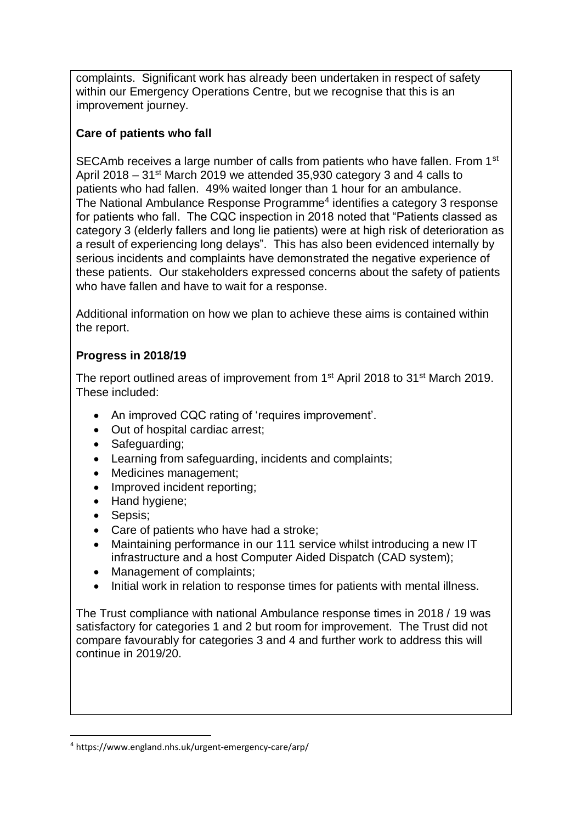complaints. Significant work has already been undertaken in respect of safety within our Emergency Operations Centre, but we recognise that this is an improvement journey.

## **Care of patients who fall**

SECAmb receives a large number of calls from patients who have fallen. From 1<sup>st</sup> April 2018 – 31st March 2019 we attended 35,930 category 3 and 4 calls to patients who had fallen. 49% waited longer than 1 hour for an ambulance. The National Ambulance Response Programme<sup>4</sup> identifies a category 3 response for patients who fall. The CQC inspection in 2018 noted that "Patients classed as category 3 (elderly fallers and long lie patients) were at high risk of deterioration as a result of experiencing long delays". This has also been evidenced internally by serious incidents and complaints have demonstrated the negative experience of these patients. Our stakeholders expressed concerns about the safety of patients who have fallen and have to wait for a response.

Additional information on how we plan to achieve these aims is contained within the report.

# **Progress in 2018/19**

The report outlined areas of improvement from 1<sup>st</sup> April 2018 to 31<sup>st</sup> March 2019. These included:

- An improved CQC rating of 'requires improvement'.
- Out of hospital cardiac arrest;
- Safeguarding;
- Learning from safeguarding, incidents and complaints;
- Medicines management;
- Improved incident reporting;
- Hand hygiene:
- Sepsis;

-

- Care of patients who have had a stroke;
- Maintaining performance in our 111 service whilst introducing a new IT infrastructure and a host Computer Aided Dispatch (CAD system);
- Management of complaints;
- Initial work in relation to response times for patients with mental illness.

The Trust compliance with national Ambulance response times in 2018 / 19 was satisfactory for categories 1 and 2 but room for improvement. The Trust did not compare favourably for categories 3 and 4 and further work to address this will continue in 2019/20.

<sup>4</sup> https://www.england.nhs.uk/urgent-emergency-care/arp/